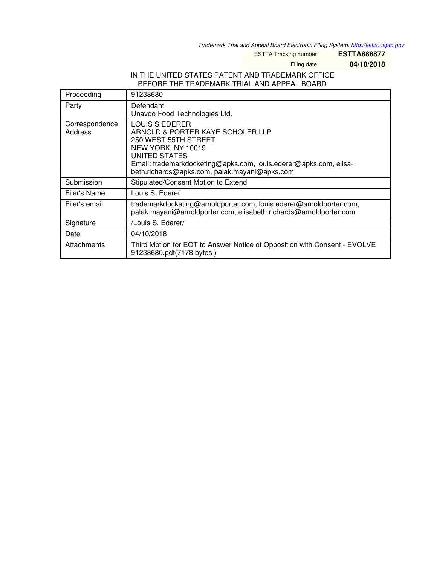*Trademark Trial and Appeal Board Electronic Filing System. <http://estta.uspto.gov>*

ESTTA Tracking number: **ESTTA888877**

Filing date: **04/10/2018**

#### IN THE UNITED STATES PATENT AND TRADEMARK OFFICE BEFORE THE TRADEMARK TRIAL AND APPEAL BOARD

| Proceeding                | 91238680                                                                                                                                                                                                                                              |
|---------------------------|-------------------------------------------------------------------------------------------------------------------------------------------------------------------------------------------------------------------------------------------------------|
| Party                     | Defendant<br>Unavoo Food Technologies Ltd.                                                                                                                                                                                                            |
| Correspondence<br>Address | <b>LOUIS S EDERER</b><br>ARNOLD & PORTER KAYE SCHOLER LLP<br>250 WEST 55TH STREET<br>NEW YORK, NY 10019<br><b>UNITED STATES</b><br>Email: trademarkdocketing@apks.com, louis.ederer@apks.com, elisa-<br>beth.richards@apks.com, palak.mayani@apks.com |
| Submission                | Stipulated/Consent Motion to Extend                                                                                                                                                                                                                   |
| <b>Filer's Name</b>       | Louis S. Ederer                                                                                                                                                                                                                                       |
| Filer's email             | trademarkdocketing@arnoldporter.com, louis.ederer@arnoldporter.com,<br>palak.mayani@arnoldporter.com, elisabeth.richards@arnoldporter.com                                                                                                             |
| Signature                 | /Louis S. Ederer/                                                                                                                                                                                                                                     |
| Date                      | 04/10/2018                                                                                                                                                                                                                                            |
| Attachments               | Third Motion for EOT to Answer Notice of Opposition with Consent - EVOLVE<br>91238680.pdf(7178 bytes)                                                                                                                                                 |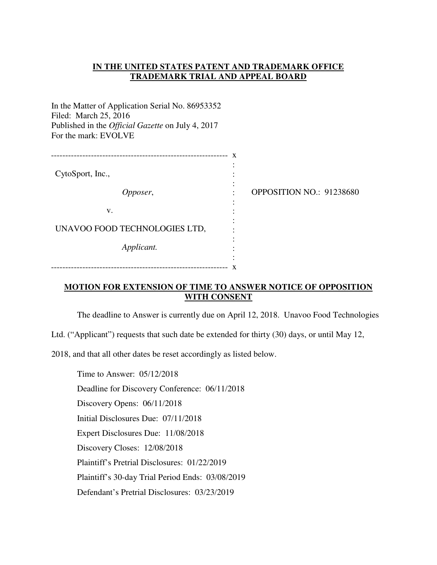### **IN THE UNITED STATES PATENT AND TRADEMARK OFFICE TRADEMARK TRIAL AND APPEAL BOARD**

In the Matter of Application Serial No. 86953352 Filed: March 25, 2016 Published in the *Official Gazette* on July 4, 2017 For the mark: EVOLVE

|                               | x |                          |
|-------------------------------|---|--------------------------|
| CytoSport, Inc.,              |   |                          |
| Opposer,                      |   | OPPOSITION NO.: 91238680 |
| V.                            |   |                          |
| UNAVOO FOOD TECHNOLOGIES LTD, |   |                          |
| Applicant.                    |   |                          |
|                               |   |                          |

-------------------------------------------------------------- x

### **MOTION FOR EXTENSION OF TIME TO ANSWER NOTICE OF OPPOSITION WITH CONSENT**

The deadline to Answer is currently due on April 12, 2018. Unavoo Food Technologies

Ltd. ("Applicant") requests that such date be extended for thirty (30) days, or until May 12,

2018, and that all other dates be reset accordingly as listed below.

Time to Answer: 05/12/2018 Deadline for Discovery Conference: 06/11/2018 Discovery Opens: 06/11/2018 Initial Disclosures Due: 07/11/2018 Expert Disclosures Due: 11/08/2018 Discovery Closes: 12/08/2018 Plaintiff's Pretrial Disclosures: 01/22/2019 Plaintiff's 30-day Trial Period Ends: 03/08/2019 Defendant's Pretrial Disclosures: 03/23/2019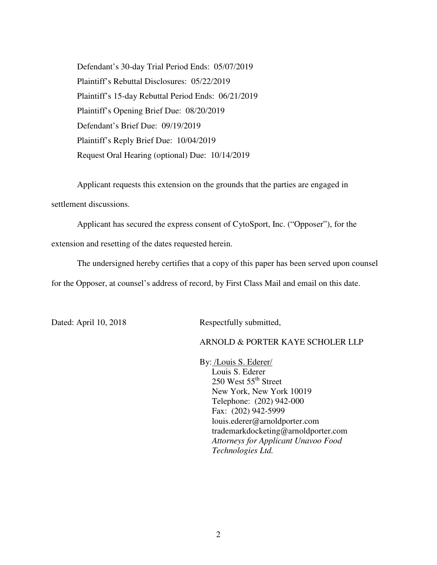Defendant's 30-day Trial Period Ends: 05/07/2019 Plaintiff's Rebuttal Disclosures: 05/22/2019 Plaintiff's 15-day Rebuttal Period Ends: 06/21/2019 Plaintiff's Opening Brief Due: 08/20/2019 Defendant's Brief Due: 09/19/2019 Plaintiff's Reply Brief Due: 10/04/2019 Request Oral Hearing (optional) Due: 10/14/2019

Applicant requests this extension on the grounds that the parties are engaged in

settlement discussions.

Applicant has secured the express consent of CytoSport, Inc. ("Opposer"), for the extension and resetting of the dates requested herein.

The undersigned hereby certifies that a copy of this paper has been served upon counsel for the Opposer, at counsel's address of record, by First Class Mail and email on this date.

Dated: April 10, 2018 Respectfully submitted,

## ARNOLD & PORTER KAYE SCHOLER LLP

By: /Louis S. Ederer/ Louis S. Ederer  $250$  West  $55<sup>th</sup>$  Street New York, New York 10019 Telephone: (202) 942-000 Fax: (202) 942-5999 louis.ederer@arnoldporter.com trademarkdocketing@arnoldporter.com *Attorneys for Applicant Unavoo Food Technologies Ltd.*